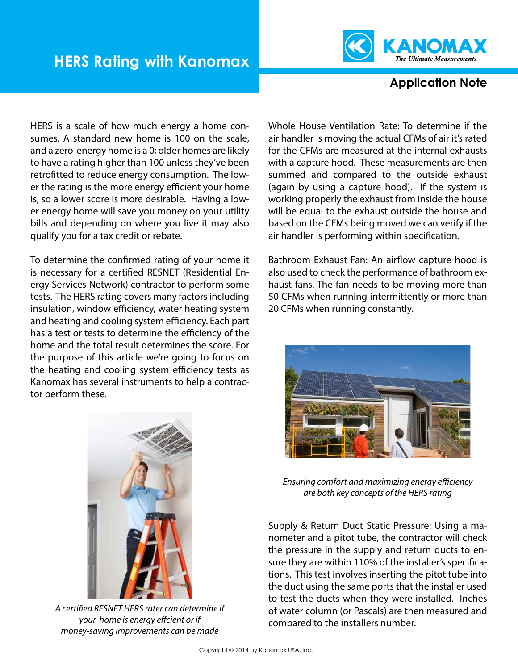

## **Application Note**

HERS is a scale of how much energy a home consumes. A standard new home is 100 on the scale, and a zero-energy home is a 0; older homes are likely to have a rating higher than 100 unless they've been retrofitted to reduce energy consumption. The lower the rating is the more energy efficient your home is, so a lower score is more desirable. Having a lower energy home will save you money on your utility bills and depending on where you live it may also qualify you for a tax credit or rebate.

To determine the confirmed rating of your home it is necessary for a certified RESNET (Residential Energy Services Network) contractor to perform some tests. The HERS rating covers many factors including insulation, window efficiency, water heating system and heating and cooling system efficiency. Each part has a test or tests to determine the efficiency of the home and the total result determines the score. For the purpose of this article we're going to focus on the heating and cooling system efficiency tests as Kanomax has several instruments to help a contractor perform these.

Whole House Ventilation Rate: To determine if the air handler is moving the actual CFMs of air it's rated for the CFMs are measured at the internal exhausts with a capture hood. These measurements are then summed and compared to the outside exhaust (again by using a capture hood). If the system is working properly the exhaust from inside the house will be equal to the exhaust outside the house and based on the CFMs being moved we can verify if the air handler is performing within specification.

Bathroom Exhaust Fan: An airflow capture hood is also used to check the performance of bathroom exhaust fans. The fan needs to be moving more than 50 CFMs when running intermittently or more than 20 CFMs when running constantly.





*A certified RESNET HERS rater can determine if your home is energy effcient or if money-saving improvements can be made*

*Ensuring comfort and maximizing energy efficiency are both key concepts of the HERS rating*

Supply & Return Duct Static Pressure: Using a manometer and a pitot tube, the contractor will check the pressure in the supply and return ducts to ensure they are within 110% of the installer's specifications. This test involves inserting the pitot tube into the duct using the same ports that the installer used to test the ducts when they were installed. Inches of water column (or Pascals) are then measured and compared to the installers number.